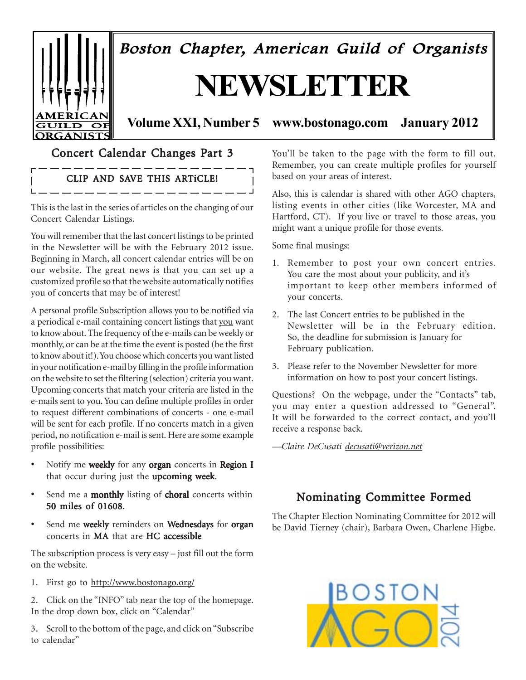

 $\overline{\phantom{a}}$ 

Boston Chapter, American Guild of Organists

# **NEWSLETTER**

### **Volume XXI, Number 5 www.bostonago.com January 2012**

### Concert Calendar Changes Part 3

## CLIP AND SAVE THIS ARTICLE!

This is the last in the series of articles on the changing of our Concert Calendar Listings.

You will remember that the last concert listings to be printed in the Newsletter will be with the February 2012 issue. Beginning in March, all concert calendar entries will be on our website. The great news is that you can set up a customized profile so that the website automatically notifies you of concerts that may be of interest!

A personal profile Subscription allows you to be notified via a periodical e-mail containing concert listings that you want to know about. The frequency of the e-mails can be weekly or monthly, or can be at the time the event is posted (be the first to know about it!). You choose which concerts you want listed in your notification e-mail by filling in the profile information on the website to set the filtering (selection) criteria you want. Upcoming concerts that match your criteria are listed in the e-mails sent to you. You can define multiple profiles in order to request different combinations of concerts - one e-mail will be sent for each profile. If no concerts match in a given period, no notification e-mail is sent. Here are some example profile possibilities:

- Notify me weekly for any organ concerts in Region I that occur during just the upcoming week.
- Send me a **monthly** listing of **choral** concerts within 50 miles of 01608.
- Send me weekly reminders on Wednesdays for organ concerts in MA that are HC accessible

The subscription process is very easy – just fill out the form on the website.

1. First go to http://www.bostonago.org/

2. Click on the "INFO" tab near the top of the homepage. In the drop down box, click on "Calendar"

3. Scroll to the bottom of the page, and click on "Subscribe to calendar"

You'll be taken to the page with the form to fill out. Remember, you can create multiple profiles for yourself based on your areas of interest.

Also, this is calendar is shared with other AGO chapters, listing events in other cities (like Worcester, MA and Hartford, CT). If you live or travel to those areas, you might want a unique profile for those events.

Some final musings:

- 1. Remember to post your own concert entries. You care the most about your publicity, and it's important to keep other members informed of your concerts.
- 2. The last Concert entries to be published in the Newsletter will be in the February edition. So, the deadline for submission is January for February publication.
- 3. Please refer to the November Newsletter for more information on how to post your concert listings.

Questions? On the webpage, under the "Contacts" tab, you may enter a question addressed to "General". It will be forwarded to the correct contact, and you'll receive a response back.

*—Claire DeCusati decusati@verizon.net*

### Nominating Committee Formed

The Chapter Election Nominating Committee for 2012 will be David Tierney (chair), Barbara Owen, Charlene Higbe.

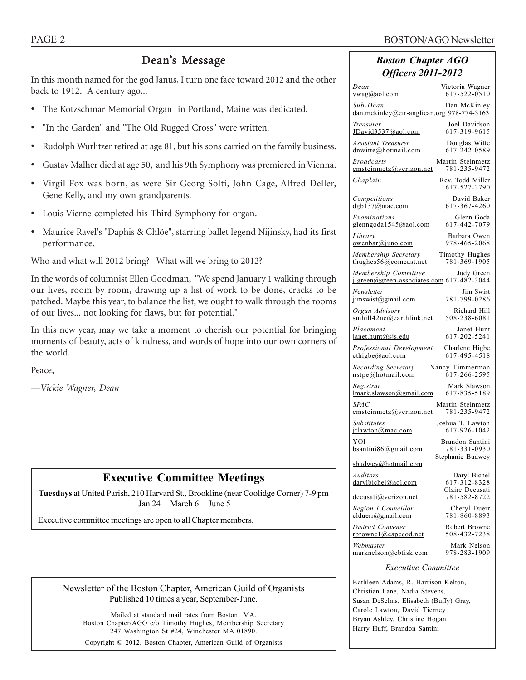#### PAGE 2 BOSTON/AGO Newsletter

### Dean's Message

In this month named for the god Janus, I turn one face toward 2012 and the other back to 1912. A century ago...

- The Kotzschmar Memorial Organ in Portland, Maine was dedicated.
- "In the Garden" and "The Old Rugged Cross" were written.
- Rudolph Wurlitzer retired at age 81, but his sons carried on the family business.
- Gustav Malher died at age 50, and his 9th Symphony was premiered in Vienna.
- Virgil Fox was born, as were Sir Georg Solti, John Cage, Alfred Deller, Gene Kelly, and my own grandparents.
- Louis Vierne completed his Third Symphony for organ.
- Maurice Ravel's "Daphis & Chlöe", starring ballet legend Nijinsky, had its first performance.

Who and what will 2012 bring? What will we bring to 2012?

In the words of columnist Ellen Goodman, "We spend January 1 walking through our lives, room by room, drawing up a list of work to be done, cracks to be patched. Maybe this year, to balance the list, we ought to walk through the rooms of our lives... not looking for flaws, but for potential."

In this new year, may we take a moment to cherish our potential for bringing moments of beauty, acts of kindness, and words of hope into our own corners of the world.

Peace,

*—Vickie Wagner, Dean*

### **Executive Committee Meetings**

**Tuesdays** at United Parish, 210 Harvard St., Brookline (near Coolidge Corner) 7-9 pm Jan 24 March 6 June 5

Executive committee meetings are open to all Chapter members.

Newsletter of the Boston Chapter, American Guild of Organists Published 10 times a year, September-June.

Mailed at standard mail rates from Boston MA. Boston Chapter/AGO c/o Timothy Hughes, Membership Secretary 247 Washington St #24, Winchester MA 01890.

Copyright © 2012, Boston Chapter, American Guild of Organists

### *Boston Chapter AGO Officers 2011-2012*

| Dean                                                                   | Victoria Wagner                                 |  |  |  |  |
|------------------------------------------------------------------------|-------------------------------------------------|--|--|--|--|
| <u>vwag@aol.com</u>                                                    | 617-522-0510                                    |  |  |  |  |
| Sub-Dean<br>dan.mckinley@ctr-anglican.org 978-774-3163                 | Dan McKinley                                    |  |  |  |  |
| Treasurer                                                              | Joel Davidson                                   |  |  |  |  |
| JDavid3537@aol.com                                                     | 617-319-9615                                    |  |  |  |  |
| Assistant Treasurer                                                    | Douglas Witte                                   |  |  |  |  |
| dnwitte@hotmail.com                                                    | 617-242-0589                                    |  |  |  |  |
| <b>Broadcasts</b>                                                      | Martin Steinmetz                                |  |  |  |  |
| cmsteinmetz@verizon.net                                                | 781-235-9472                                    |  |  |  |  |
| Chaplain                                                               | Rev. Todd Miller<br>617-527-2790                |  |  |  |  |
| Competitions                                                           | David Baker                                     |  |  |  |  |
| dgb137@mac.com                                                         | 617-367-4260                                    |  |  |  |  |
| Examinations                                                           | Glenn Goda                                      |  |  |  |  |
| glenngoda1545@aol.com                                                  | 617-442-7079                                    |  |  |  |  |
| Library                                                                | Barbara Owen                                    |  |  |  |  |
| <u>owenbar@juno.com</u>                                                | 978-465-2068                                    |  |  |  |  |
| Membership Secretary                                                   | Timothy Hughes                                  |  |  |  |  |
| thughes $56@$ comcast.net                                              | 781-369-1905                                    |  |  |  |  |
| Membership Committee<br>jlgreen@green-associates.com 617-482-3044      | Judy Green                                      |  |  |  |  |
| Newsletter                                                             | Jim Swist                                       |  |  |  |  |
| jimswist@gmail.com                                                     | 781-799-0286                                    |  |  |  |  |
| Organ Advisory                                                         | Richard Hill                                    |  |  |  |  |
| smhill42ne@earthlink.net                                               | 508-238-6081                                    |  |  |  |  |
| Placement                                                              | Janet Hunt                                      |  |  |  |  |
| janet.hunt@sjs.edu                                                     | 617-202-5241                                    |  |  |  |  |
| Professional Development                                               | Charlene Higbe                                  |  |  |  |  |
| $\text{cthigbe}(a)$ aol.com                                            | 617-495-4518                                    |  |  |  |  |
| Recording Secretary                                                    | Nancy Timmerman                                 |  |  |  |  |
| nstpe@hotmail.com                                                      | 617-266-2595                                    |  |  |  |  |
| Registrar                                                              | Mark Slawson                                    |  |  |  |  |
| lmark.slawson@gmail.com                                                | 617-835-5189                                    |  |  |  |  |
| <i>SPAC</i>                                                            | Martin Steinmetz                                |  |  |  |  |
| emsteinmetz@verizon.net                                                | 781-235-9472                                    |  |  |  |  |
| Substitutes                                                            | Joshua T. Lawton                                |  |  |  |  |
| jtlawton@mac.com                                                       | 617-926-1042                                    |  |  |  |  |
| YOI                                                                    | Brandon Santini                                 |  |  |  |  |
| bsantini $86$ @gmail.com                                               | 781-331-0930                                    |  |  |  |  |
| sbudwey@hotmail.com                                                    | Stephanie Budwey                                |  |  |  |  |
| Auditors<br>darylbichel@aol.com                                        | Daryl Bichel<br>617-312-8328<br>Claire Decusati |  |  |  |  |
| decusati@verizon.net                                                   | 781-582-8722                                    |  |  |  |  |
| Region I Councillor                                                    | Cheryl Duerr                                    |  |  |  |  |
| clduerr@gmail.com                                                      | 781-860-8893                                    |  |  |  |  |
| District Convener                                                      | Robert Browne                                   |  |  |  |  |
| rbrownel@capecod.net                                                   | 508-432-7238                                    |  |  |  |  |
| Webmaster                                                              | Mark Nelson                                     |  |  |  |  |
| marknelson@cbfisk.com                                                  | 978-283-1909                                    |  |  |  |  |
| <i>Executive Committee</i>                                             |                                                 |  |  |  |  |
| Kathleen Adams, R. Harrison Kelton,                                    |                                                 |  |  |  |  |
| Christian Lane, Nadia Stevens,                                         |                                                 |  |  |  |  |
| Susan DeSelms, Elisabeth (Buffy) Gray,<br>Carole Lawton, David Tierney |                                                 |  |  |  |  |
| Bryan Ashley, Christine Hogan                                          |                                                 |  |  |  |  |

Harry Huff, Brandon Santini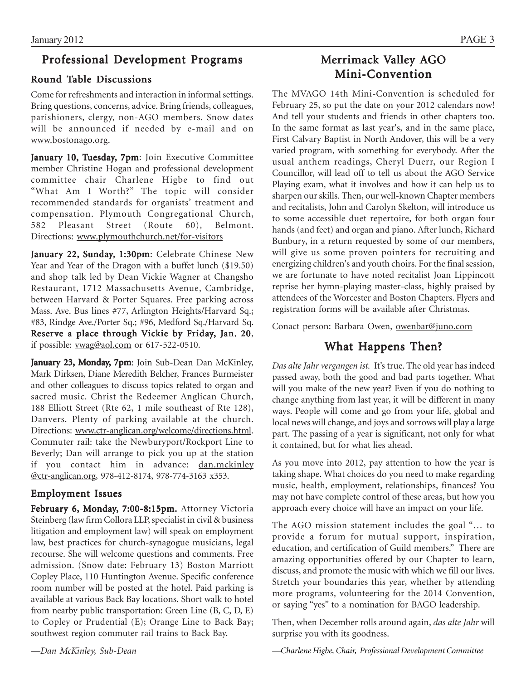### Professional Development Programs

### Round Table Discussions

Come for refreshments and interaction in informal settings. Bring questions, concerns, advice. Bring friends, colleagues, parishioners, clergy, non-AGO members. Snow dates will be announced if needed by e-mail and on www.bostonago.org.

January 10, Tuesday, 7pm: Join Executive Committee member Christine Hogan and professional development committee chair Charlene Higbe to find out "What Am I Worth?" The topic will consider recommended standards for organists' treatment and compensation. Plymouth Congregational Church, 582 Pleasant Street (Route 60), Belmont. Directions: www.plymouthchurch.net/for-visitors

January 22, Sunday, 1:30pm: Celebrate Chinese New Year and Year of the Dragon with a buffet lunch (\$19.50) and shop talk led by Dean Vickie Wagner at Changsho Restaurant, 1712 Massachusetts Avenue, Cambridge, between Harvard & Porter Squares. Free parking across Mass. Ave. Bus lines #77, Arlington Heights/Harvard Sq.; #83, Rindge Ave./Porter Sq.; #96, Medford Sq./Harvard Sq. Reserve a place through Vickie by Friday, Jan. 20, if possible: vwag@aol.com or 617-522-0510.

January 23, Monday, 7pm: Join Sub-Dean Dan McKinley, Mark Dirksen, Diane Meredith Belcher, Frances Burmeister and other colleagues to discuss topics related to organ and sacred music. Christ the Redeemer Anglican Church, 188 Elliott Street (Rte 62, 1 mile southeast of Rte 128), Danvers. Plenty of parking available at the church. Directions: www.ctr-anglican.org/welcome/directions.html. Commuter rail: take the Newburyport/Rockport Line to Beverly; Dan will arrange to pick you up at the station if you contact him in advance: dan.mckinley @ctr-anglican.org, 978-412-8174, 978-774-3163 x353.

### Employment Issues

February 6, Monday, 7:00-8:15pm. Attorney Victoria Steinberg (law firm Collora LLP, specialist in civil & business litigation and employment law) will speak on employment law, best practices for church-synagogue musicians, legal recourse. She will welcome questions and comments. Free admission. (Snow date: February 13) Boston Marriott Copley Place, 110 Huntington Avenue. Specific conference room number will be posted at the hotel. Paid parking is available at various Back Bay locations. Short walk to hotel from nearby public transportation: Green Line (B, C, D, E) to Copley or Prudential (E); Orange Line to Back Bay; southwest region commuter rail trains to Back Bay.

Merrimack Valley AGO Mini-Convention

The MVAGO 14th Mini-Convention is scheduled for February 25, so put the date on your 2012 calendars now! And tell your students and friends in other chapters too. In the same format as last year's, and in the same place, First Calvary Baptist in North Andover, this will be a very varied program, with something for everybody. After the usual anthem readings, Cheryl Duerr, our Region I Councillor, will lead off to tell us about the AGO Service Playing exam, what it involves and how it can help us to sharpen our skills. Then, our well-known Chapter members and recitalists, John and Carolyn Skelton, will introduce us to some accessible duet repertoire, for both organ four hands (and feet) and organ and piano. After lunch, Richard Bunbury, in a return requested by some of our members, will give us some proven pointers for recruiting and energizing children's and youth choirs. For the final session, we are fortunate to have noted recitalist Joan Lippincott reprise her hymn-playing master-class, highly praised by attendees of the Worcester and Boston Chapters. Flyers and registration forms will be available after Christmas.

Conact person: Barbara Owen, owenbar@juno.com

### What Happens Then?

*Das alte Jahr vergangen ist.* It's true. The old year has indeed passed away, both the good and bad parts together. What will you make of the new year? Even if you do nothing to change anything from last year, it will be different in many ways. People will come and go from your life, global and local news will change, and joys and sorrows will play a large part. The passing of a year is significant, not only for what it contained, but for what lies ahead.

As you move into 2012, pay attention to how the year is taking shape. What choices do you need to make regarding music, health, employment, relationships, finances? You may not have complete control of these areas, but how you approach every choice will have an impact on your life.

The AGO mission statement includes the goal "… to provide a forum for mutual support, inspiration, education, and certification of Guild members." There are amazing opportunities offered by our Chapter to learn, discuss, and promote the music with which we fill our lives. Stretch your boundaries this year, whether by attending more programs, volunteering for the 2014 Convention, or saying "yes" to a nomination for BAGO leadership.

Then, when December rolls around again, *das alte Jahr* will surprise you with its goodness.

*—Dan McKinley, Sub-Dean*

*—Charlene Higbe, Chair, Professional Development Committee*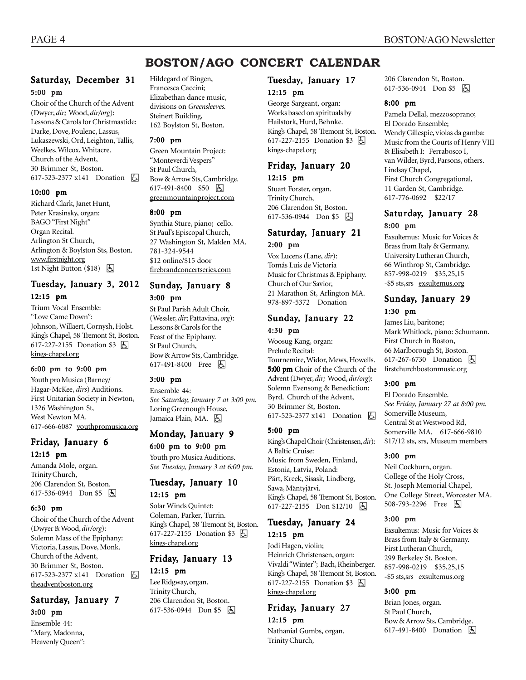### **BOSTON/AGO CONCERT CALENDAR**

#### Saturday, December 31 5:00 pm

Choir of the Church of the Advent (Dwyer, *dir;* Wood, *dir/org*): Lessons & Carols for Christmastide: Darke, Dove, Poulenc, Lassus, Lukaszewski, Ord, Leighton, Tallis, Weelkes, Wilcox, Whitacre. Church of the Advent, 30 Brimmer St, Boston. 617-523-2377 x141 Donation h

#### 10:00 pm

Richard Clark, Janet Hunt, Peter Krasinsky, organ: BAGO "First Night" Organ Recital. Arlington St Church, Arlington & Boylston Sts, Boston. www.firstnight.org 1st Night Button  $(\$18)$   $\Box$ 

#### Tuesday, January 3, 2012 12:15 pm

Trium Vocal Ensemble: "Love Came Down": Johnson, Willaert, Cornysh, Holst. King's Chapel, 58 Tremont St, Boston. 617-227-2155 Donation \$3 因 kings-chapel.org

#### 6:00 pm to 9:00 pm

Youth pro Musica (Barney/ Hagar-McKee, *dirs*) Auditions. First Unitarian Society in Newton, 1326 Washington St, West Newton MA. 617-666-6087 youthpromusica.org

#### Friday, January 6 12:15 pm

Amanda Mole, organ. Trinity Church, 206 Clarendon St, Boston. 617-536-0944 Don \$5 因

#### 6:30 pm

Choir of the Church of the Advent (Dwyer & Wood, *dir/org*): Solemn Mass of the Epiphany: Victoria, Lassus, Dove, Monk. Church of the Advent, 30 Brimmer St, Boston. 617-523-2377 x141 Donation h theadventboston.org

### Saturday, January 7

3:00 pm

Ensemble 44: "Mary, Madonna, Heavenly Queen": Hildegard of Bingen, Francesca Caccini; Elizabethan dance music, divisions on *Greensleeves.* Steinert Building, 162 Boylston St, Boston.

#### 7:00 pm

Green Mountain Project: "Monteverdi Vespers" St Paul Church, Bow & Arrow Sts, Cambridge. 617-491-8400 \$50 因 greenmountainproject.com

#### 8:00 pm

Synthia Sture, piano; cello. St Paul's Episcopal Church, 27 Washington St, Malden MA. 781-324-9544 \$12 online/\$15 door firebrandconcertseries.com

#### Sunday, January 8 3:00 pm

St Paul Parish Adult Choir, (Wessler, *dir*; Pattavina, *org*): Lessons & Carols for the Feast of the Epiphany. St Paul Church, Bow & Arrow Sts, Cambridge. 617-491-8400 Free **b** 

#### 3:00 pm

Ensemble 44: *See Saturday, January 7 at 3:00 pm.* Loring Greenough House, Jamaica Plain, MA. [5]

#### Monday, January 9

6:00 pm to 9:00 pm Youth pro Musica Auditions. *See Tuesday, January 3 at 6:00 pm.*

#### Tuesday, January 10 12:15 pm

Solar Winds Quintet: Coleman, Parker, Turrin. King's Chapel, 58 Tremont St, Boston. 617-227-2155 Donation \$3 h kings-chapel.org

#### Friday, January 13 12:15 pm

Lee Ridgway, organ. Trinity Church, 206 Clarendon St, Boston. 617-536-0944 Don \$5  $\Box$ 

#### Tuesday, January 17 12:15 pm

George Sargeant, organ: Works based on spirituals by Hailstork, Hurd, Behnke. King's Chapel, 58 Tremont St, Boston. 617-227-2155 Donation \$3 因 kings-chapel.org

#### Friday, January 20

12:15 pm

Stuart Forster, organ. Trinity Church, 206 Clarendon St, Boston. 617-536-0944 Don \$5 **A** 

#### Saturday, January 21 2:00 pm

Vox Lucens (Lane, *dir*): Tomás Luis de Victoria Music for Christmas & Epiphany. Church of Our Savior, 21 Marathon St, Arlington MA. 978-897-5372 Donation

### Sunday, January 22

4:30 pm Woosug Kang, organ: Prelude Recital: Tournemire, Widor, Mews, Howells. 5:00 pm Choir of the Church of the Advent (Dwyer, *dir;* Wood, *dir/org*): Solemn Evensong & Benediction: Byrd. Church of the Advent, 30 Brimmer St, Boston. 617-523-2377 x141 Donation **A** 

#### 5:00 pm

King's Chapel Choir (Christensen, *dir*): A Baltic Cruise: Music from Sweden, Finland, Estonia, Latvia, Poland: Pärt, Kreek, Sisask, Lindberg, Sawa, Mäntyjärvi. King's Chapel, 58 Tremont St, Boston. 617-227-2155 Don \$12/10 | A

#### Tuesday, January 24 12:15 pm

Jodi Hagen, violin; Heinrich Christensen, organ: Vivaldi "Winter"; Bach, Rheinberger. King's Chapel, 58 Tremont St, Boston. 617-227-2155 Donation \$3 **A** kings-chapel.org

### Friday, January 27

12:15 pm Nathanial Gumbs, organ. Trinity Church,

206 Clarendon St, Boston. 617-536-0944 Don \$5 | A

#### 8:00 pm

Pamela Dellal, mezzosoprano; El Dorado Ensemble; Wendy Gillespie, violas da gamba: Music from the Courts of Henry VIII & Elisabeth I: Ferrabosco I, van Wilder, Byrd, Parsons, others. Lindsay Chapel, First Church Congregational, 11 Garden St, Cambridge. 617-776-0692 \$22/17

#### Saturday, January 28 8:00 pm

Exsultemus: Music for Voices & Brass from Italy & Germany. University Lutheran Church, 66 Winthrop St, Cambridge. 857-998-0219 \$35,25,15 -\$5 sts,srs exsultemus.org

#### Sunday, January 29 1:30 pm

James Liu, baritone; Mark Whitlock, piano: Schumann. First Church in Boston, 66 Marlborough St, Boston. 617-267-6730 Donation  $\boxed{6}$ firstchurchbostonmusic.org

#### 3:00 pm

El Dorado Ensemble. *See Friday, January 27 at 8:00 pm.* Somerville Museum, Central St at Westwood Rd, Somerville MA. 617-666-9810 \$17/12 sts, srs, Museum members

#### 3:00 pm

Neil Cockburn, organ. College of the Holy Cross, St. Joseph Memorial Chapel, One College Street, Worcester MA. 508-793-2296 Free **b** 

#### 3:00 pm

Exsultemus: Music for Voices & Brass from Italy & Germany. First Lutheran Church, 299 Berkeley St, Boston. 857-998-0219 \$35,25,15 -\$5 sts,srs exsultemus.org

#### 3:00 pm

Brian Jones, organ. St Paul Church, Bow & Arrow Sts, Cambridge. 617-491-8400 Donation **b**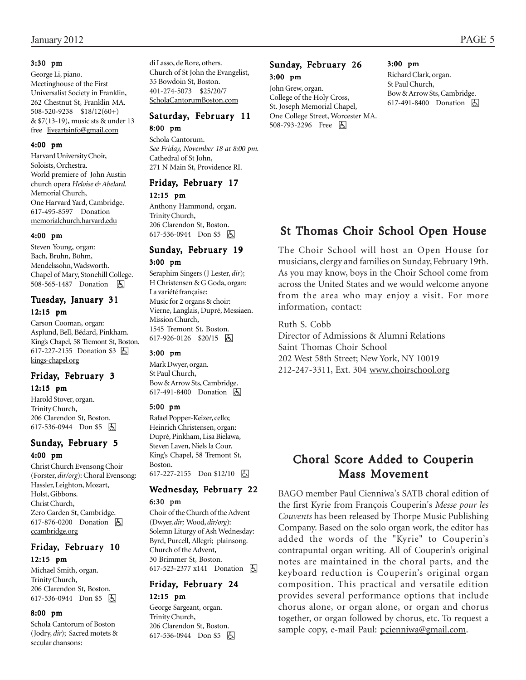#### 3:30 pm

George Li, piano. Meetinghouse of the First Universalist Society in Franklin, 262 Chestnut St, Franklin MA. 508-520-9238 \$18/12(60+) & \$7(13-19), music sts & under 13 free liveartsinfo@gmail.com

#### 4:00 pm

Harvard University Choir, Soloists, Orchestra. World premiere of John Austin church opera *Heloise & Abelard.* Memorial Church, One Harvard Yard, Cambridge. 617-495-8597 Donation memorialchurch.harvard.edu

#### 4:00 pm

Steven Young, organ: Bach, Bruhn, Böhm, Mendelssohn, Wadsworth. Chapel of Mary, Stonehill College. 508-565-1487 Donation  $\Box$ 

#### Tuesday, January 31 12:15 pm

Carson Cooman, organ: Asplund, Bell, Bédard, Pinkham. King's Chapel, 58 Tremont St, Boston. 617-227-2155 Donation \$3 囚 kings-chapel.org

#### Friday, February 3 12:15 pm

Harold Stover, organ. Trinity Church, 206 Clarendon St, Boston. 617-536-0944 Don \$5 因

#### Sunday, February 5 4:00 pm

Christ Church Evensong Choir (Forster, *dir/org*): Choral Evensong: Hassler, Leighton, Mozart, Holst, Gibbons. Christ Church, Zero Garden St, Cambridge. 617-876-0200 Donation **b** ccambridge.org

#### Friday, February 10 12:15 pm

Michael Smith, organ. Trinity Church, 206 Clarendon St, Boston. 617-536-0944 Don \$5 | A

#### 8:00 pm

Schola Cantorum of Boston (Jodry, *dir*); Sacred motets & secular chansons:

di Lasso, de Rore, others. Church of St John the Evangelist, 35 Bowdoin St, Boston. 401-274-5073 \$25/20/7 ScholaCantorumBoston.com

#### Saturday, February 11 8:00 pm

Schola Cantorum.

*See Friday, November 18 at 8:00 pm.* Cathedral of St John, 271 N Main St, Providence RI.

### Friday, February 17

12:15 pm

Anthony Hammond, organ. Trinity Church, 206 Clarendon St, Boston.  $617-536-0944$  Don \$5  $\boxed{6}$ 

#### Sunday, February 19 3:00 pm

Seraphim Singers (J Lester, *dir*); H Christensen & G Goda, organ: La variété française: Music for 2 organs & choir: Vierne, Langlais, Dupré, Messiaen. Mission Church, 1545 Tremont St, Boston. 617-926-0126 \$20/15 因

#### 3:00 pm

Mark Dwyer, organ. St Paul Church, Bow & Arrow Sts, Cambridge. 617-491-8400 Donation **A** 

#### 5:00 pm

Rafael Popper-Keizer, cello; Heinrich Christensen, organ: Dupré, Pinkham, Lisa Bielawa, Steven Laven, Niels la Cour. King's Chapel, 58 Tremont St, Boston. 617-227-2155 Don \$12/10 | A

#### Wednesday, February 22 6:30 pm

Choir of the Church of the Advent (Dwyer, *dir;* Wood, *dir/org*): Solemn Liturgy of Ash Wednesday: Byrd, Purcell, Allegri; plainsong. Church of the Advent, 30 Brimmer St, Boston. 617-523-2377 x141 Donation **b** 

#### Friday, February 24 12:15 pm

George Sargeant, organ. Trinity Church, 206 Clarendon St, Boston. 617-536-0944 Don \$5  $\Box$ 

#### Sunday, February 26 3:00 pm

#### John Grew, organ. College of the Holy Cross, St. Joseph Memorial Chapel, One College Street, Worcester MA. 508-793-2296 Free h

#### 3:00 pm

Richard Clark, organ. St Paul Church, Bow & Arrow Sts, Cambridge. 617-491-8400 Donation  $\Box$ 

### St Thomas Choir School Open House

The Choir School will host an Open House for musicians, clergy and families on Sunday, February 19th. As you may know, boys in the Choir School come from across the United States and we would welcome anyone from the area who may enjoy a visit. For more information, contact:

Ruth S. Cobb Director of Admissions & Alumni Relations Saint Thomas Choir School 202 West 58th Street; New York, NY 10019 212-247-3311, Ext. 304 www.choirschool.org

### Choral Score Added to Couperin **Mass Movement**

BAGO member Paul Cienniwa's SATB choral edition of the first Kyrie from François Couperin's *Messe pour les Couvents* has been released by Thorpe Music Publishing Company. Based on the solo organ work, the editor has added the words of the "Kyrie" to Couperin's contrapuntal organ writing. All of Couperin's original notes are maintained in the choral parts, and the keyboard reduction is Couperin's original organ composition. This practical and versatile edition provides several performance options that include chorus alone, or organ alone, or organ and chorus together, or organ followed by chorus, etc. To request a sample copy, e-mail Paul: pcienniwa@gmail.com.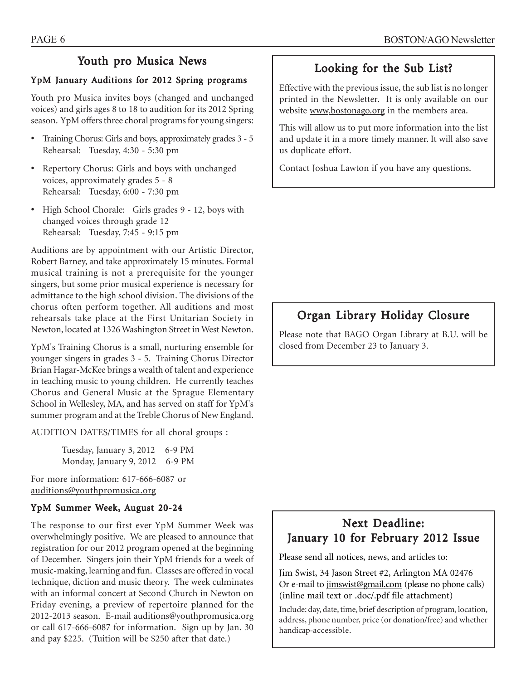### Youth pro Musica News

### YpM January Auditions for 2012 Spring programs

Youth pro Musica invites boys (changed and unchanged voices) and girls ages 8 to 18 to audition for its 2012 Spring season. YpM offers three choral programs for young singers:

- Training Chorus: Girls and boys, approximately grades 3 5 Rehearsal: Tuesday, 4:30 - 5:30 pm
- Repertory Chorus: Girls and boys with unchanged voices, approximately grades 5 - 8 Rehearsal: Tuesday, 6:00 - 7:30 pm
- High School Chorale: Girls grades 9 12, boys with changed voices through grade 12 Rehearsal: Tuesday, 7:45 - 9:15 pm

Auditions are by appointment with our Artistic Director, Robert Barney, and take approximately 15 minutes. Formal musical training is not a prerequisite for the younger singers, but some prior musical experience is necessary for admittance to the high school division. The divisions of the chorus often perform together. All auditions and most rehearsals take place at the First Unitarian Society in Newton, located at 1326 Washington Street in West Newton.

YpM's Training Chorus is a small, nurturing ensemble for younger singers in grades 3 - 5. Training Chorus Director Brian Hagar-McKee brings a wealth of talent and experience in teaching music to young children. He currently teaches Chorus and General Music at the Sprague Elementary School in Wellesley, MA, and has served on staff for YpM's summer program and at the Treble Chorus of New England.

AUDITION DATES/TIMES for all choral groups :

Tuesday, January 3, 2012 6-9 PM Monday, January 9, 2012 6-9 PM

For more information: 617-666-6087 or auditions@youthpromusica.org

#### YpM Summer Week, August 20-24

The response to our first ever YpM Summer Week was overwhelmingly positive. We are pleased to announce that registration for our 2012 program opened at the beginning of December. Singers join their YpM friends for a week of music-making, learning and fun. Classes are offered in vocal technique, diction and music theory. The week culminates with an informal concert at Second Church in Newton on Friday evening, a preview of repertoire planned for the 2012-2013 season. E-mail auditions@youthpromusica.org or call 617-666-6087 for information. Sign up by Jan. 30 and pay \$225. (Tuition will be \$250 after that date.)

### Looking for the Sub List?

Effective with the previous issue, the sub list is no longer printed in the Newsletter. It is only available on our website www.bostonago.org in the members area.

This will allow us to put more information into the list and update it in a more timely manner. It will also save us duplicate effort.

Contact Joshua Lawton if you have any questions.

### Organ Library Holiday Closure

Please note that BAGO Organ Library at B.U. will be closed from December 23 to January 3.

### Next Deadline: January 10 for February 2012 Issue

Please send all notices, news, and articles to:

Jim Swist, 34 Jason Street #2, Arlington MA 02476 Or e-mail to jimswist@gmail.com (please no phone calls) (inline mail text or .doc/.pdf file attachment)

Include: day, date, time, brief description of program, location, address, phone number, price (or donation/free) and whether handicap-accessible.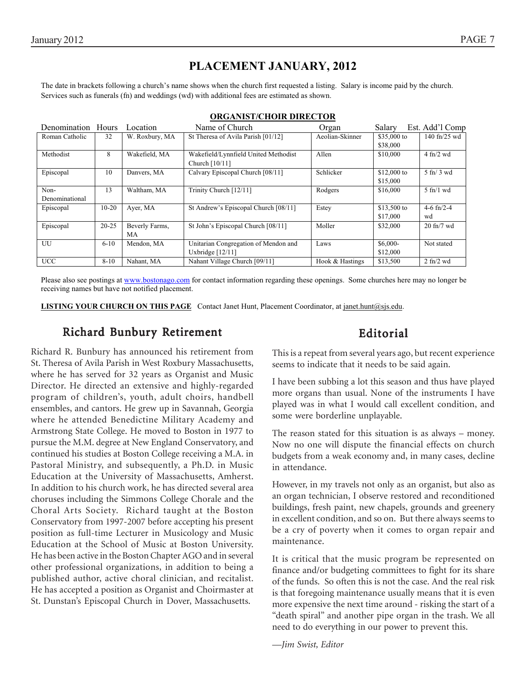### **PLACEMENT JANUARY, 2012**

The date in brackets following a church's name shows when the church first requested a listing. Salary is income paid by the church. Services such as funerals (fn) and weddings (wd) with additional fees are estimated as shown.

| Denomination Hours |           | Location       | Name of Church                       | Organ           | Salary       | Est. Add'l Comp                 |
|--------------------|-----------|----------------|--------------------------------------|-----------------|--------------|---------------------------------|
| Roman Catholic     | 32        | W. Roxbury, MA | St Theresa of Avila Parish [01/12]   | Aeolian-Skinner | \$35,000 to  | 140 fn/25 wd                    |
|                    |           |                |                                      |                 | \$38,000     |                                 |
| Methodist          | 8         | Wakefield, MA  | Wakefield/Lynnfield United Methodist | Allen           | \$10,000     | $4$ fn/2 wd                     |
|                    |           |                | Church [10/11]                       |                 |              |                                 |
| Episcopal          | 10        | Danvers, MA    | Calvary Episcopal Church [08/11]     | Schlicker       | $$12,000$ to | $5 \text{ ft} / 3 \text{ wd}$   |
|                    |           |                |                                      |                 | \$15,000     |                                 |
| Non-               | 13        | Waltham, MA    | Trinity Church [12/11]               | Rodgers         | \$16,000     | $5$ fn/1 wd                     |
| Denominational     |           |                |                                      |                 |              |                                 |
| Episcopal          | $10 - 20$ | Ayer, MA       | St Andrew's Episcopal Church [08/11] | Estey           | \$13,500 to  | 4-6 $fn/2-4$                    |
|                    |           |                |                                      |                 | \$17,000     | wd                              |
| Episcopal          | $20 - 25$ | Beverly Farms, | St John's Episcopal Church [08/11]   | Moller          | \$32,000     | $20 \text{ ft}$ /7 wd           |
|                    |           | МA             |                                      |                 |              |                                 |
| UU                 | $6 - 10$  | Mendon, MA     | Unitarian Congregation of Mendon and | Laws            | $$6,000-$    | Not stated                      |
|                    |           |                | Uxbridge $[12/11]$                   |                 | \$12,000     |                                 |
| <b>UCC</b>         | $8 - 10$  | Nahant, MA     | Nahant Village Church [09/11]        | Hook & Hastings | \$13,500     | $2 \text{ ft}$ / $2 \text{ wd}$ |

#### **ORGANIST/CHOIR DIRECTOR**

Please also see postings at www.bostonago.com for contact information regarding these openings. Some churches here may no longer be receiving names but have not notified placement.

**LISTING YOUR CHURCH ON THIS PAGE** Contact Janet Hunt, Placement Coordinator, at janet.hunt@sjs.edu.

### Richard Bunbury Retirement

### Editorial

Richard R. Bunbury has announced his retirement from St. Theresa of Avila Parish in West Roxbury Massachusetts, where he has served for 32 years as Organist and Music Director. He directed an extensive and highly-regarded program of children's, youth, adult choirs, handbell ensembles, and cantors. He grew up in Savannah, Georgia where he attended Benedictine Military Academy and Armstrong State College. He moved to Boston in 1977 to pursue the M.M. degree at New England Conservatory, and continued his studies at Boston College receiving a M.A. in Pastoral Ministry, and subsequently, a Ph.D. in Music Education at the University of Massachusetts, Amherst. In addition to his church work, he has directed several area choruses including the Simmons College Chorale and the Choral Arts Society. Richard taught at the Boston Conservatory from 1997-2007 before accepting his present position as full-time Lecturer in Musicology and Music Education at the School of Music at Boston University. He has been active in the Boston Chapter AGO and in several other professional organizations, in addition to being a published author, active choral clinician, and recitalist. He has accepted a position as Organist and Choirmaster at St. Dunstan's Episcopal Church in Dover, Massachusetts.

This is a repeat from several years ago, but recent experience seems to indicate that it needs to be said again.

I have been subbing a lot this season and thus have played more organs than usual. None of the instruments I have played was in what I would call excellent condition, and some were borderline unplayable.

The reason stated for this situation is as always – money. Now no one will dispute the financial effects on church budgets from a weak economy and, in many cases, decline in attendance.

However, in my travels not only as an organist, but also as an organ technician, I observe restored and reconditioned buildings, fresh paint, new chapels, grounds and greenery in excellent condition, and so on. But there always seems to be a cry of poverty when it comes to organ repair and maintenance.

It is critical that the music program be represented on finance and/or budgeting committees to fight for its share of the funds. So often this is not the case. And the real risk is that foregoing maintenance usually means that it is even more expensive the next time around - risking the start of a "death spiral" and another pipe organ in the trash. We all need to do everything in our power to prevent this.

*—Jim Swist, Editor*